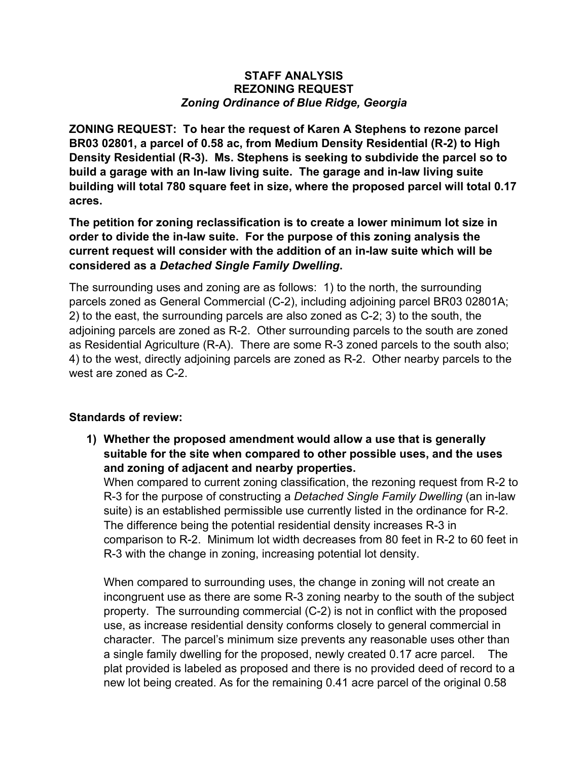## **STAFF ANALYSIS REZONING REQUEST** *Zoning Ordinance of Blue Ridge, Georgia*

**ZONING REQUEST: To hear the request of Karen A Stephens to rezone parcel BR03 02801, a parcel of 0.58 ac, from Medium Density Residential (R-2) to High Density Residential (R-3). Ms. Stephens is seeking to subdivide the parcel so to build a garage with an In-law living suite. The garage and in-law living suite building will total 780 square feet in size, where the proposed parcel will total 0.17 acres.**

**The petition for zoning reclassification is to create a lower minimum lot size in order to divide the in-law suite. For the purpose of this zoning analysis the current request will consider with the addition of an in-law suite which will be considered as a** *Detached Single Family Dwelling***.** 

The surrounding uses and zoning are as follows: 1) to the north, the surrounding parcels zoned as General Commercial (C-2), including adjoining parcel BR03 02801A; 2) to the east, the surrounding parcels are also zoned as C-2; 3) to the south, the adjoining parcels are zoned as R-2. Other surrounding parcels to the south are zoned as Residential Agriculture (R-A). There are some R-3 zoned parcels to the south also; 4) to the west, directly adjoining parcels are zoned as R-2. Other nearby parcels to the west are zoned as C-2.

## **Standards of review:**

**1) Whether the proposed amendment would allow a use that is generally suitable for the site when compared to other possible uses, and the uses and zoning of adjacent and nearby properties.**

When compared to current zoning classification, the rezoning request from R-2 to R-3 for the purpose of constructing a *Detached Single Family Dwelling* (an in-law suite) is an established permissible use currently listed in the ordinance for R-2. The difference being the potential residential density increases R-3 in comparison to R-2. Minimum lot width decreases from 80 feet in R-2 to 60 feet in R-3 with the change in zoning, increasing potential lot density.

When compared to surrounding uses, the change in zoning will not create an incongruent use as there are some R-3 zoning nearby to the south of the subject property. The surrounding commercial (C-2) is not in conflict with the proposed use, as increase residential density conforms closely to general commercial in character. The parcel's minimum size prevents any reasonable uses other than a single family dwelling for the proposed, newly created 0.17 acre parcel. The plat provided is labeled as proposed and there is no provided deed of record to a new lot being created. As for the remaining 0.41 acre parcel of the original 0.58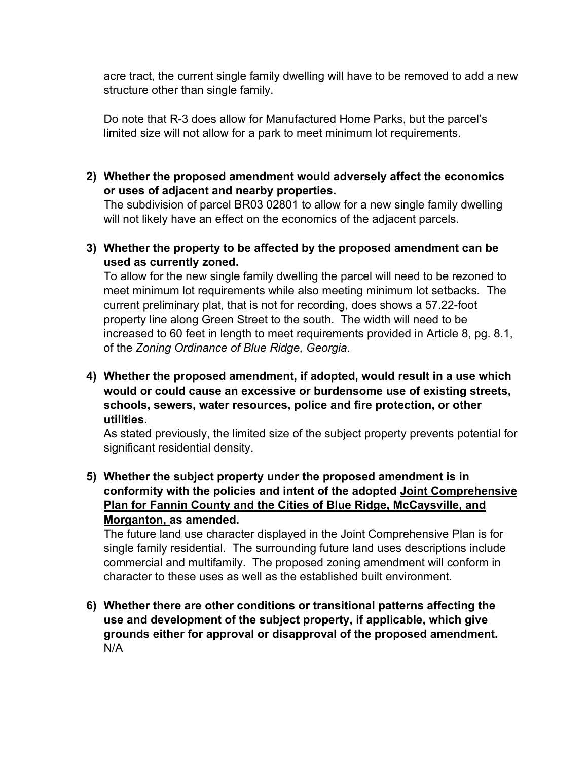acre tract, the current single family dwelling will have to be removed to add a new structure other than single family.

Do note that R-3 does allow for Manufactured Home Parks, but the parcel's limited size will not allow for a park to meet minimum lot requirements.

**2) Whether the proposed amendment would adversely affect the economics or uses of adjacent and nearby properties.**

The subdivision of parcel BR03 02801 to allow for a new single family dwelling will not likely have an effect on the economics of the adjacent parcels.

**3) Whether the property to be affected by the proposed amendment can be used as currently zoned.**

To allow for the new single family dwelling the parcel will need to be rezoned to meet minimum lot requirements while also meeting minimum lot setbacks*.* The current preliminary plat, that is not for recording, does shows a 57.22-foot property line along Green Street to the south. The width will need to be increased to 60 feet in length to meet requirements provided in Article 8, pg. 8.1, of the *Zoning Ordinance of Blue Ridge, Georgia*.

**4) Whether the proposed amendment, if adopted, would result in a use which would or could cause an excessive or burdensome use of existing streets, schools, sewers, water resources, police and fire protection, or other utilities.**

As stated previously, the limited size of the subject property prevents potential for significant residential density.

**5) Whether the subject property under the proposed amendment is in conformity with the policies and intent of the adopted Joint Comprehensive Plan for Fannin County and the Cities of Blue Ridge, McCaysville, and Morganton, as amended.**

The future land use character displayed in the Joint Comprehensive Plan is for single family residential. The surrounding future land uses descriptions include commercial and multifamily. The proposed zoning amendment will conform in character to these uses as well as the established built environment.

**6) Whether there are other conditions or transitional patterns affecting the use and development of the subject property, if applicable, which give grounds either for approval or disapproval of the proposed amendment.** N/A